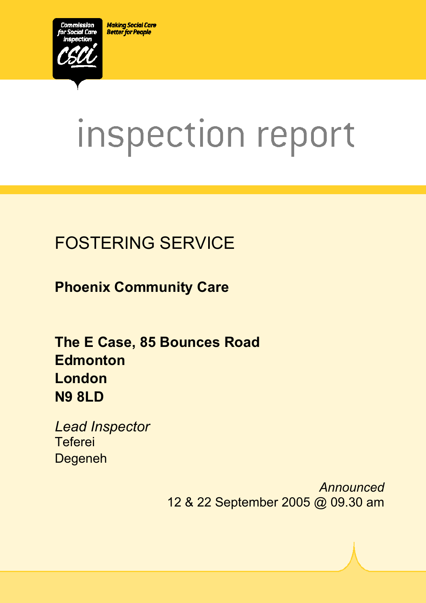**Making Social Care Better for People** 



# inspection report

# FOSTERING SERVICE

**Phoenix Community Care** 

**The E Case, 85 Bounces Road Edmonton London N9 8LD** 

*Lead Inspector*  **Teferei** Degeneh

> *Announced* 12 & 22 September 2005 @ 09.30 am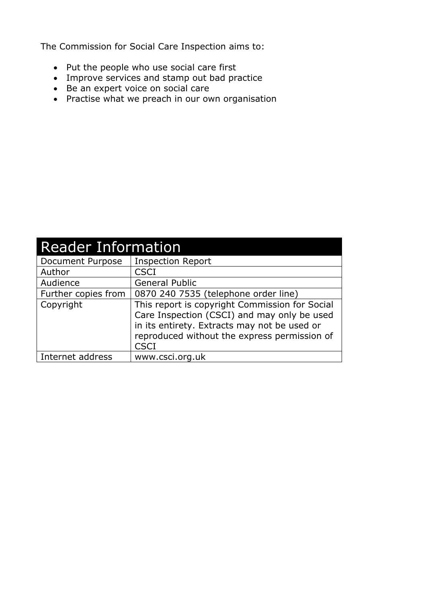The Commission for Social Care Inspection aims to:

- Put the people who use social care first
- Improve services and stamp out bad practice
- Be an expert voice on social care
- Practise what we preach in our own organisation

| <b>Reader Information</b> |                                                                                                                                                                                                              |  |  |
|---------------------------|--------------------------------------------------------------------------------------------------------------------------------------------------------------------------------------------------------------|--|--|
| Document Purpose          | <b>Inspection Report</b>                                                                                                                                                                                     |  |  |
| Author                    | <b>CSCI</b>                                                                                                                                                                                                  |  |  |
| Audience                  | <b>General Public</b>                                                                                                                                                                                        |  |  |
| Further copies from       | 0870 240 7535 (telephone order line)                                                                                                                                                                         |  |  |
| Copyright                 | This report is copyright Commission for Social<br>Care Inspection (CSCI) and may only be used<br>in its entirety. Extracts may not be used or<br>reproduced without the express permission of<br><b>CSCI</b> |  |  |
| Internet address          | www.csci.org.uk                                                                                                                                                                                              |  |  |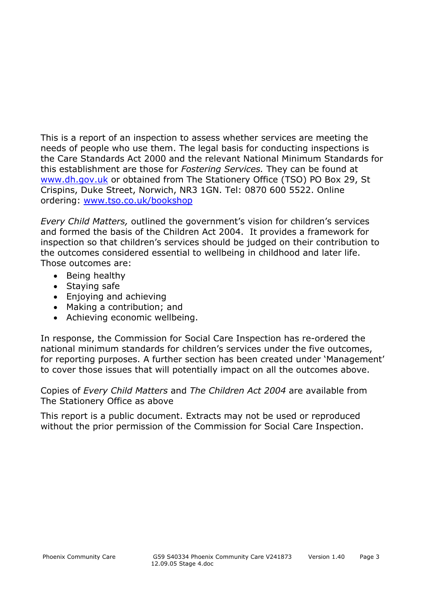This is a report of an inspection to assess whether services are meeting the needs of people who use them. The legal basis for conducting inspections is the Care Standards Act 2000 and the relevant National Minimum Standards for this establishment are those for *Fostering Services.* They can be found at www.dh.gov.uk or obtained from The Stationery Office (TSO) PO Box 29, St Crispins, Duke Street, Norwich, NR3 1GN. Tel: 0870 600 5522. Online ordering: www.tso.co.uk/bookshop

*Every Child Matters,* outlined the government's vision for children's services and formed the basis of the Children Act 2004. It provides a framework for inspection so that children's services should be judged on their contribution to the outcomes considered essential to wellbeing in childhood and later life. Those outcomes are:

- Being healthy
- Staying safe
- Enjoying and achieving
- Making a contribution; and
- Achieving economic wellbeing.

In response, the Commission for Social Care Inspection has re-ordered the national minimum standards for children's services under the five outcomes, for reporting purposes. A further section has been created under 'Management' to cover those issues that will potentially impact on all the outcomes above.

Copies of *Every Child Matters* and *The Children Act 2004* are available from The Stationery Office as above

This report is a public document. Extracts may not be used or reproduced without the prior permission of the Commission for Social Care Inspection.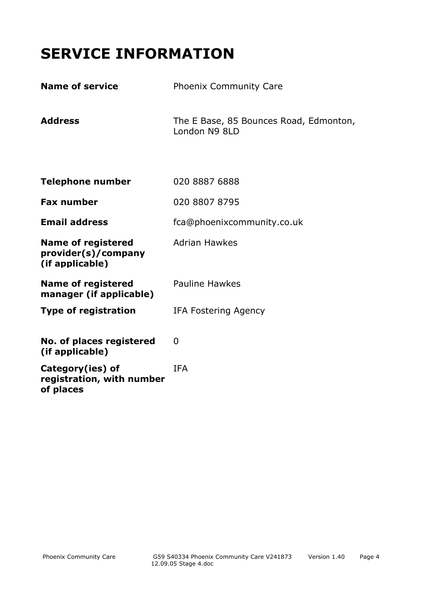# **SERVICE INFORMATION**

| <b>Name of service</b>                                              | <b>Phoenix Community Care</b>                           |
|---------------------------------------------------------------------|---------------------------------------------------------|
| <b>Address</b>                                                      | The E Base, 85 Bounces Road, Edmonton,<br>London N9 8LD |
| <b>Telephone number</b>                                             | 020 8887 6888                                           |
| <b>Fax number</b>                                                   | 020 8807 8795                                           |
| <b>Email address</b>                                                | fca@phoenixcommunity.co.uk                              |
| <b>Name of registered</b><br>provider(s)/company<br>(if applicable) | <b>Adrian Hawkes</b>                                    |
| <b>Name of registered</b><br>manager (if applicable)                | <b>Pauline Hawkes</b>                                   |
| <b>Type of registration</b>                                         | <b>IFA Fostering Agency</b>                             |
| No. of places registered<br>(if applicable)                         | 0                                                       |
| Category(ies) of<br>registration, with number<br>of places          | <b>IFA</b>                                              |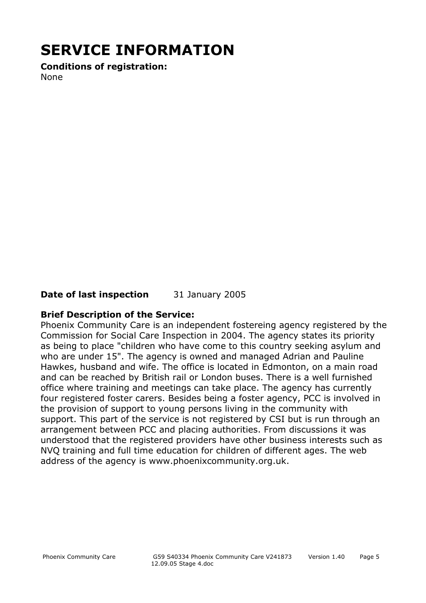# **SERVICE INFORMATION**

**Conditions of registration:**  None

#### **Date of last inspection** 31 January 2005

#### **Brief Description of the Service:**

Phoenix Community Care is an independent fostereing agency registered by the Commission for Social Care Inspection in 2004. The agency states its priority as being to place "children who have come to this country seeking asylum and who are under 15". The agency is owned and managed Adrian and Pauline Hawkes, husband and wife. The office is located in Edmonton, on a main road and can be reached by British rail or London buses. There is a well furnished office where training and meetings can take place. The agency has currently four registered foster carers. Besides being a foster agency, PCC is involved in the provision of support to young persons living in the community with support. This part of the service is not registered by CSI but is run through an arrangement between PCC and placing authorities. From discussions it was understood that the registered providers have other business interests such as NVQ training and full time education for children of different ages. The web address of the agency is www.phoenixcommunity.org.uk.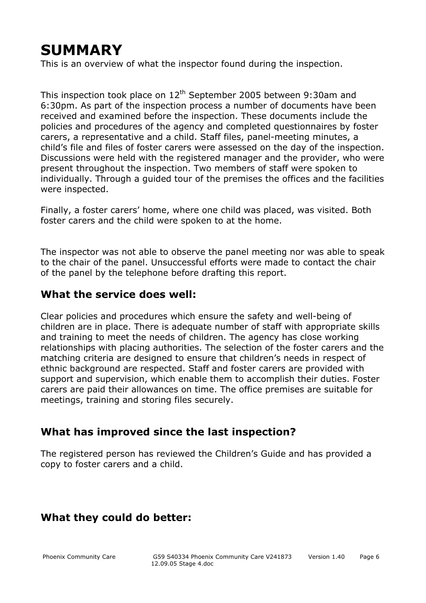# **SUMMARY**

This is an overview of what the inspector found during the inspection.

This inspection took place on  $12<sup>th</sup>$  September 2005 between 9:30am and 6:30pm. As part of the inspection process a number of documents have been received and examined before the inspection. These documents include the policies and procedures of the agency and completed questionnaires by foster carers, a representative and a child. Staff files, panel-meeting minutes, a child's file and files of foster carers were assessed on the day of the inspection. Discussions were held with the registered manager and the provider, who were present throughout the inspection. Two members of staff were spoken to individually. Through a guided tour of the premises the offices and the facilities were inspected.

Finally, a foster carers' home, where one child was placed, was visited. Both foster carers and the child were spoken to at the home.

The inspector was not able to observe the panel meeting nor was able to speak to the chair of the panel. Unsuccessful efforts were made to contact the chair of the panel by the telephone before drafting this report.

#### **What the service does well:**

Clear policies and procedures which ensure the safety and well-being of children are in place. There is adequate number of staff with appropriate skills and training to meet the needs of children. The agency has close working relationships with placing authorities. The selection of the foster carers and the matching criteria are designed to ensure that children's needs in respect of ethnic background are respected. Staff and foster carers are provided with support and supervision, which enable them to accomplish their duties. Foster carers are paid their allowances on time. The office premises are suitable for meetings, training and storing files securely.

#### **What has improved since the last inspection?**

The registered person has reviewed the Children's Guide and has provided a copy to foster carers and a child.

#### **What they could do better:**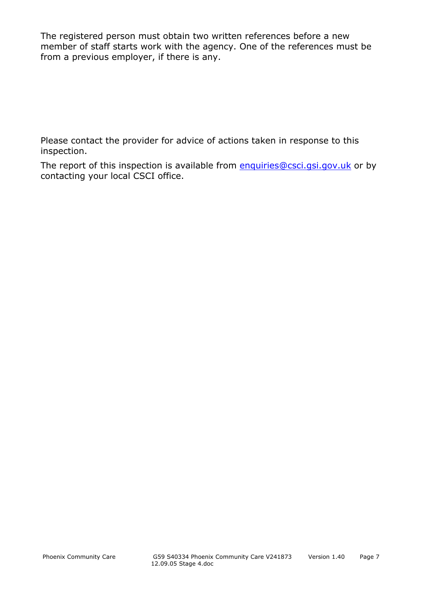The registered person must obtain two written references before a new member of staff starts work with the agency. One of the references must be from a previous employer, if there is any.

Please contact the provider for advice of actions taken in response to this inspection.

The report of this inspection is available from enquiries@csci.gsi.gov.uk or by contacting your local CSCI office.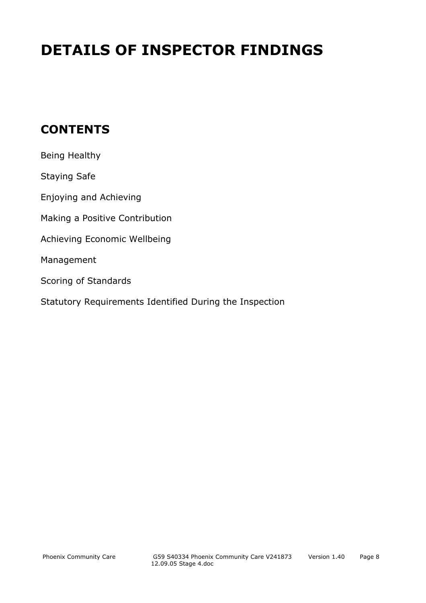# **DETAILS OF INSPECTOR FINDINGS**

## **CONTENTS**

| Being Healthy                                           |
|---------------------------------------------------------|
| <b>Staying Safe</b>                                     |
| Enjoying and Achieving                                  |
| Making a Positive Contribution                          |
| Achieving Economic Wellbeing                            |
| Management                                              |
| Scoring of Standards                                    |
| Statutory Requirements Identified During the Inspection |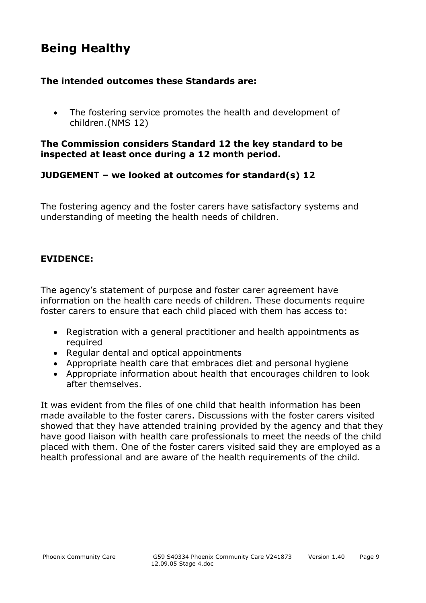## **Being Healthy**

#### **The intended outcomes these Standards are:**

• The fostering service promotes the health and development of children.(NMS 12)

#### **The Commission considers Standard 12 the key standard to be inspected at least once during a 12 month period.**

#### **JUDGEMENT – we looked at outcomes for standard(s) 12**

The fostering agency and the foster carers have satisfactory systems and understanding of meeting the health needs of children.

#### **EVIDENCE:**

The agency's statement of purpose and foster carer agreement have information on the health care needs of children. These documents require foster carers to ensure that each child placed with them has access to:

- Registration with a general practitioner and health appointments as required
- Regular dental and optical appointments
- Appropriate health care that embraces diet and personal hygiene
- Appropriate information about health that encourages children to look after themselves.

It was evident from the files of one child that health information has been made available to the foster carers. Discussions with the foster carers visited showed that they have attended training provided by the agency and that they have good liaison with health care professionals to meet the needs of the child placed with them. One of the foster carers visited said they are employed as a health professional and are aware of the health requirements of the child.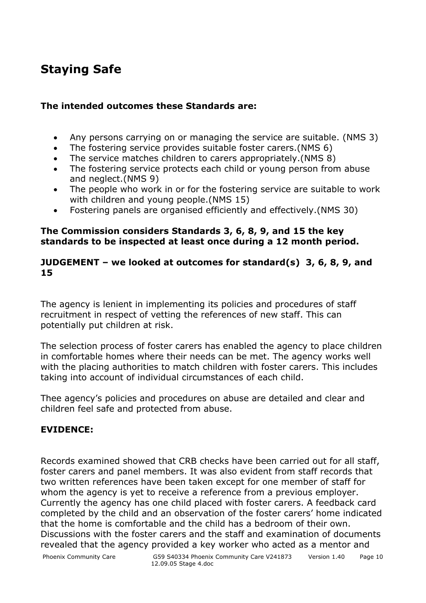# **Staying Safe**

#### **The intended outcomes these Standards are:**

- Any persons carrying on or managing the service are suitable. (NMS 3)
- The fostering service provides suitable foster carers.(NMS 6)
- The service matches children to carers appropriately.(NMS 8)
- The fostering service protects each child or young person from abuse and neglect.(NMS 9)
- The people who work in or for the fostering service are suitable to work with children and young people.(NMS 15)
- Fostering panels are organised efficiently and effectively.(NMS 30)

#### **The Commission considers Standards 3, 6, 8, 9, and 15 the key standards to be inspected at least once during a 12 month period.**

#### **JUDGEMENT – we looked at outcomes for standard(s) 3, 6, 8, 9, and 15**

The agency is lenient in implementing its policies and procedures of staff recruitment in respect of vetting the references of new staff. This can potentially put children at risk.

The selection process of foster carers has enabled the agency to place children in comfortable homes where their needs can be met. The agency works well with the placing authorities to match children with foster carers. This includes taking into account of individual circumstances of each child.

Thee agency's policies and procedures on abuse are detailed and clear and children feel safe and protected from abuse.

#### **EVIDENCE:**

Records examined showed that CRB checks have been carried out for all staff, foster carers and panel members. It was also evident from staff records that two written references have been taken except for one member of staff for whom the agency is yet to receive a reference from a previous employer. Currently the agency has one child placed with foster carers. A feedback card completed by the child and an observation of the foster carers' home indicated that the home is comfortable and the child has a bedroom of their own. Discussions with the foster carers and the staff and examination of documents revealed that the agency provided a key worker who acted as a mentor and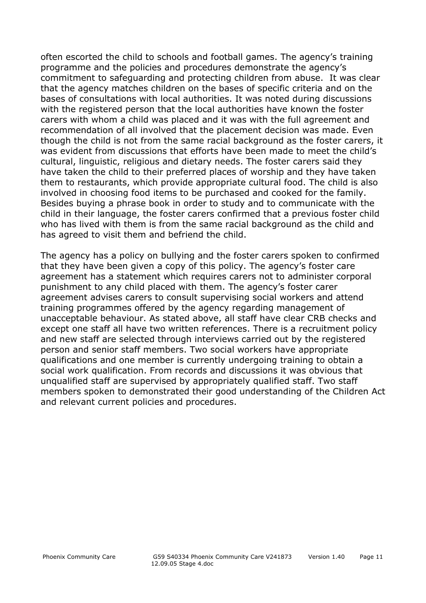often escorted the child to schools and football games. The agency's training programme and the policies and procedures demonstrate the agency's commitment to safeguarding and protecting children from abuse. It was clear that the agency matches children on the bases of specific criteria and on the bases of consultations with local authorities. It was noted during discussions with the registered person that the local authorities have known the foster carers with whom a child was placed and it was with the full agreement and recommendation of all involved that the placement decision was made. Even though the child is not from the same racial background as the foster carers, it was evident from discussions that efforts have been made to meet the child's cultural, linguistic, religious and dietary needs. The foster carers said they have taken the child to their preferred places of worship and they have taken them to restaurants, which provide appropriate cultural food. The child is also involved in choosing food items to be purchased and cooked for the family. Besides buying a phrase book in order to study and to communicate with the child in their language, the foster carers confirmed that a previous foster child who has lived with them is from the same racial background as the child and has agreed to visit them and befriend the child.

The agency has a policy on bullying and the foster carers spoken to confirmed that they have been given a copy of this policy. The agency's foster care agreement has a statement which requires carers not to administer corporal punishment to any child placed with them. The agency's foster carer agreement advises carers to consult supervising social workers and attend training programmes offered by the agency regarding management of unacceptable behaviour. As stated above, all staff have clear CRB checks and except one staff all have two written references. There is a recruitment policy and new staff are selected through interviews carried out by the registered person and senior staff members. Two social workers have appropriate qualifications and one member is currently undergoing training to obtain a social work qualification. From records and discussions it was obvious that unqualified staff are supervised by appropriately qualified staff. Two staff members spoken to demonstrated their good understanding of the Children Act and relevant current policies and procedures.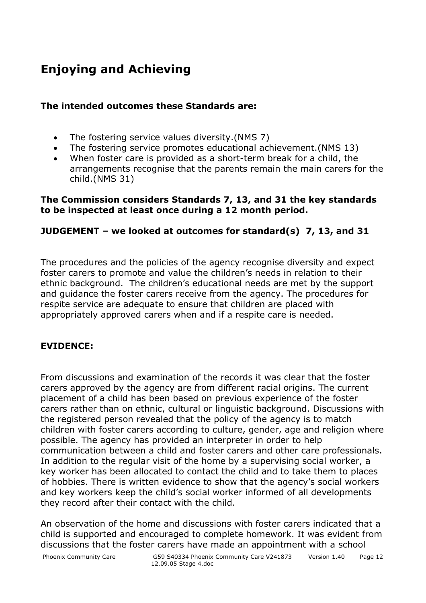# **Enjoying and Achieving**

#### **The intended outcomes these Standards are:**

- The fostering service values diversity.(NMS 7)
- The fostering service promotes educational achievement.(NMS 13)
- When foster care is provided as a short-term break for a child, the arrangements recognise that the parents remain the main carers for the child.(NMS 31)

#### **The Commission considers Standards 7, 13, and 31 the key standards to be inspected at least once during a 12 month period.**

#### **JUDGEMENT – we looked at outcomes for standard(s) 7, 13, and 31**

The procedures and the policies of the agency recognise diversity and expect foster carers to promote and value the children's needs in relation to their ethnic background. The children's educational needs are met by the support and guidance the foster carers receive from the agency. The procedures for respite service are adequate to ensure that children are placed with appropriately approved carers when and if a respite care is needed.

#### **EVIDENCE:**

From discussions and examination of the records it was clear that the foster carers approved by the agency are from different racial origins. The current placement of a child has been based on previous experience of the foster carers rather than on ethnic, cultural or linguistic background. Discussions with the registered person revealed that the policy of the agency is to match children with foster carers according to culture, gender, age and religion where possible. The agency has provided an interpreter in order to help communication between a child and foster carers and other care professionals. In addition to the regular visit of the home by a supervising social worker, a key worker has been allocated to contact the child and to take them to places of hobbies. There is written evidence to show that the agency's social workers and key workers keep the child's social worker informed of all developments they record after their contact with the child.

An observation of the home and discussions with foster carers indicated that a child is supported and encouraged to complete homework. It was evident from discussions that the foster carers have made an appointment with a school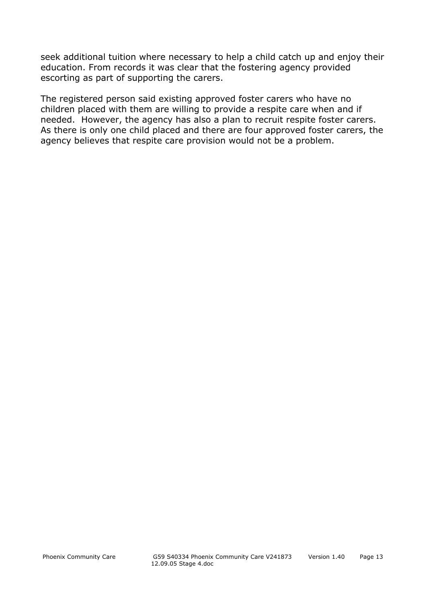seek additional tuition where necessary to help a child catch up and enjoy their education. From records it was clear that the fostering agency provided escorting as part of supporting the carers.

The registered person said existing approved foster carers who have no children placed with them are willing to provide a respite care when and if needed. However, the agency has also a plan to recruit respite foster carers. As there is only one child placed and there are four approved foster carers, the agency believes that respite care provision would not be a problem.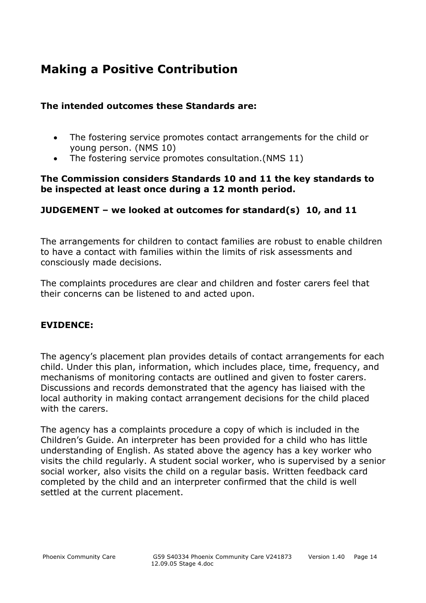# **Making a Positive Contribution**

#### **The intended outcomes these Standards are:**

- The fostering service promotes contact arrangements for the child or young person. (NMS 10)
- The fostering service promotes consultation.(NMS 11)

#### **The Commission considers Standards 10 and 11 the key standards to be inspected at least once during a 12 month period.**

#### **JUDGEMENT – we looked at outcomes for standard(s) 10, and 11**

The arrangements for children to contact families are robust to enable children to have a contact with families within the limits of risk assessments and consciously made decisions.

The complaints procedures are clear and children and foster carers feel that their concerns can be listened to and acted upon.

#### **EVIDENCE:**

The agency's placement plan provides details of contact arrangements for each child. Under this plan, information, which includes place, time, frequency, and mechanisms of monitoring contacts are outlined and given to foster carers. Discussions and records demonstrated that the agency has liaised with the local authority in making contact arrangement decisions for the child placed with the carers.

The agency has a complaints procedure a copy of which is included in the Children's Guide. An interpreter has been provided for a child who has little understanding of English. As stated above the agency has a key worker who visits the child regularly. A student social worker, who is supervised by a senior social worker, also visits the child on a regular basis. Written feedback card completed by the child and an interpreter confirmed that the child is well settled at the current placement.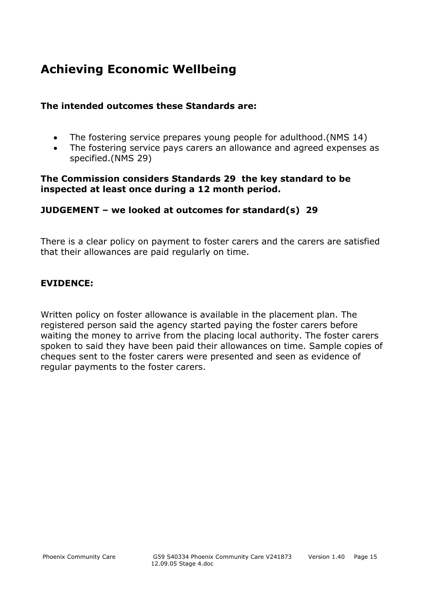# **Achieving Economic Wellbeing**

#### **The intended outcomes these Standards are:**

- The fostering service prepares young people for adulthood.(NMS 14)
- The fostering service pays carers an allowance and agreed expenses as specified.(NMS 29)

#### **The Commission considers Standards 29 the key standard to be inspected at least once during a 12 month period.**

#### **JUDGEMENT – we looked at outcomes for standard(s) 29**

There is a clear policy on payment to foster carers and the carers are satisfied that their allowances are paid regularly on time.

#### **EVIDENCE:**

Written policy on foster allowance is available in the placement plan. The registered person said the agency started paying the foster carers before waiting the money to arrive from the placing local authority. The foster carers spoken to said they have been paid their allowances on time. Sample copies of cheques sent to the foster carers were presented and seen as evidence of regular payments to the foster carers.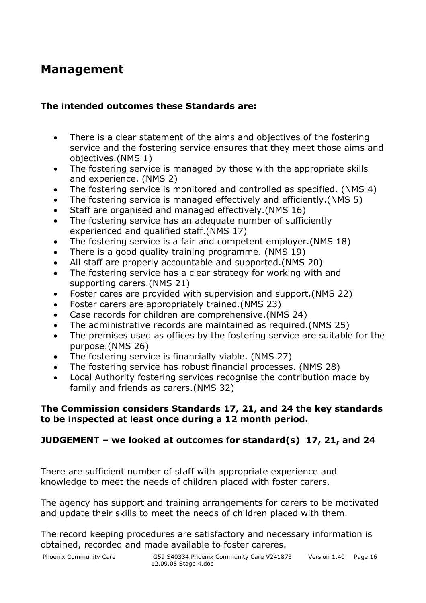## **Management**

#### **The intended outcomes these Standards are:**

- There is a clear statement of the aims and objectives of the fostering service and the fostering service ensures that they meet those aims and objectives.(NMS 1)
- The fostering service is managed by those with the appropriate skills and experience. (NMS 2)
- The fostering service is monitored and controlled as specified. (NMS 4)
- The fostering service is managed effectively and efficiently.(NMS 5)
- Staff are organised and managed effectively.(NMS 16)
- The fostering service has an adequate number of sufficiently experienced and qualified staff.(NMS 17)
- The fostering service is a fair and competent employer.(NMS 18)
- There is a good quality training programme. (NMS 19)
- All staff are properly accountable and supported.(NMS 20)
- The fostering service has a clear strategy for working with and supporting carers.(NMS 21)
- Foster cares are provided with supervision and support.(NMS 22)
- Foster carers are appropriately trained.(NMS 23)
- Case records for children are comprehensive.(NMS 24)
- The administrative records are maintained as required.(NMS 25)
- The premises used as offices by the fostering service are suitable for the purpose.(NMS 26)
- The fostering service is financially viable. (NMS 27)
- The fostering service has robust financial processes. (NMS 28)
- Local Authority fostering services recognise the contribution made by family and friends as carers.(NMS 32)

#### **The Commission considers Standards 17, 21, and 24 the key standards to be inspected at least once during a 12 month period.**

#### **JUDGEMENT – we looked at outcomes for standard(s) 17, 21, and 24**

There are sufficient number of staff with appropriate experience and knowledge to meet the needs of children placed with foster carers.

The agency has support and training arrangements for carers to be motivated and update their skills to meet the needs of children placed with them.

The record keeping procedures are satisfactory and necessary information is obtained, recorded and made available to foster careres.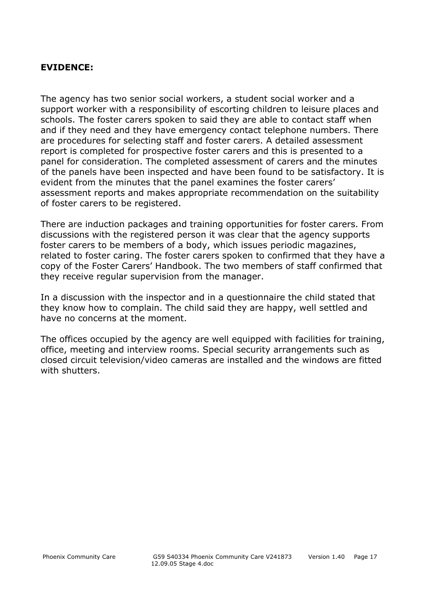#### **EVIDENCE:**

The agency has two senior social workers, a student social worker and a support worker with a responsibility of escorting children to leisure places and schools. The foster carers spoken to said they are able to contact staff when and if they need and they have emergency contact telephone numbers. There are procedures for selecting staff and foster carers. A detailed assessment report is completed for prospective foster carers and this is presented to a panel for consideration. The completed assessment of carers and the minutes of the panels have been inspected and have been found to be satisfactory. It is evident from the minutes that the panel examines the foster carers' assessment reports and makes appropriate recommendation on the suitability of foster carers to be registered.

There are induction packages and training opportunities for foster carers. From discussions with the registered person it was clear that the agency supports foster carers to be members of a body, which issues periodic magazines, related to foster caring. The foster carers spoken to confirmed that they have a copy of the Foster Carers' Handbook. The two members of staff confirmed that they receive regular supervision from the manager.

In a discussion with the inspector and in a questionnaire the child stated that they know how to complain. The child said they are happy, well settled and have no concerns at the moment.

The offices occupied by the agency are well equipped with facilities for training, office, meeting and interview rooms. Special security arrangements such as closed circuit television/video cameras are installed and the windows are fitted with shutters.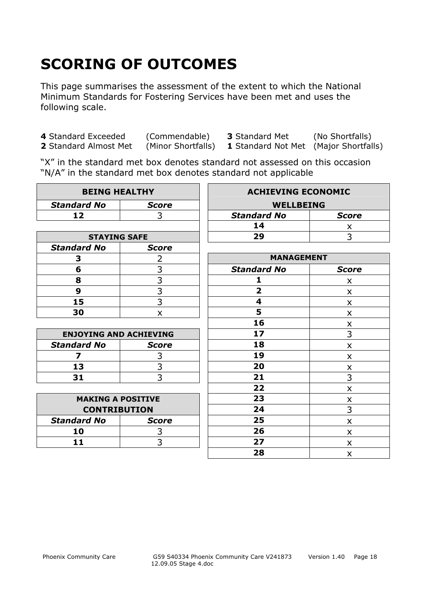# **SCORING OF OUTCOMES**

This page summarises the assessment of the extent to which the National Minimum Standards for Fostering Services have been met and uses the following scale.

**4** Standard Exceeded (Commendable) **3** Standard Met (No Shortfalls)

**2** Standard Almost Met (Minor Shortfalls) **1** Standard Not Met (Major Shortfalls)

"X" in the standard met box denotes standard not assessed on this occasion "N/A" in the standard met box denotes standard not applicable

| <b>BEING HEALTHY</b>          |                             | <b>ACHIEVING ECONOMIC</b> |                           |
|-------------------------------|-----------------------------|---------------------------|---------------------------|
| <b>Standard No</b>            | <b>Score</b>                | <b>WELLBEING</b>          |                           |
| 12                            | 3                           | <b>Standard No</b>        | <b>Score</b>              |
|                               |                             | 14                        | X.                        |
| <b>STAYING SAFE</b>           |                             | 29                        | 3                         |
| <b>Standard No</b>            | <b>Score</b>                |                           |                           |
| 3                             | 2                           | <b>MANAGEMENT</b>         |                           |
| 6                             |                             | <b>Standard No</b>        | <b>Score</b>              |
| 8                             | $\frac{3}{3}$ $\frac{3}{3}$ | 1                         | X                         |
| 9                             |                             | $\overline{2}$            | X                         |
| 15                            |                             | 4                         | X                         |
| 30                            | X                           | 5                         | X                         |
|                               |                             | 16                        | X                         |
| <b>ENJOYING AND ACHIEVING</b> |                             | 17                        | $\overline{3}$            |
| <b>Standard No</b>            | <b>Score</b>                | 18                        | $\boldsymbol{\mathsf{x}}$ |
| $\overline{\mathbf{z}}$       | 3                           | 19                        | X                         |
| 13                            | 3                           | 20                        | X                         |
| 31                            | $\overline{3}$              | 21                        | 3                         |
|                               |                             | 22                        | $\boldsymbol{\mathsf{x}}$ |
| <b>MAKING A POSITIVE</b>      |                             | 23                        | $\pmb{\times}$            |
| <b>CONTRIBUTION</b>           |                             | 24                        | 3                         |
| <b>Standard No</b>            | <b>Score</b>                | 25                        | $\boldsymbol{\mathsf{x}}$ |
| 10                            | 3                           | 26                        | X                         |
| 11                            | 3                           | 27                        | X                         |
|                               |                             | 28                        | X                         |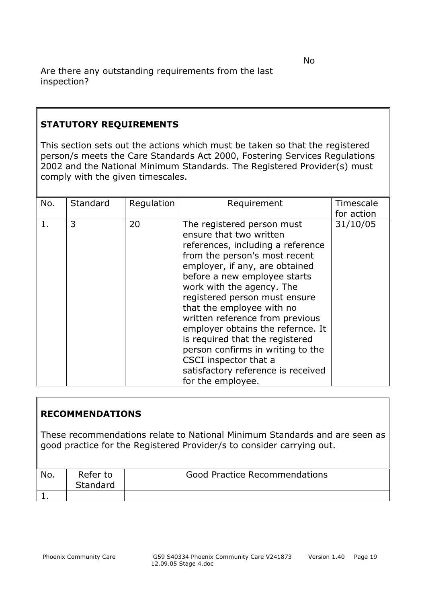#### **STATUTORY REQUIREMENTS**

This section sets out the actions which must be taken so that the registered person/s meets the Care Standards Act 2000, Fostering Services Regulations 2002 and the National Minimum Standards. The Registered Provider(s) must comply with the given timescales.

| No. | Standard | Regulation | Requirement                                                                                                                                                                                                                                                                                                                                                                                                                                                                                                                  | Timescale<br>for action |
|-----|----------|------------|------------------------------------------------------------------------------------------------------------------------------------------------------------------------------------------------------------------------------------------------------------------------------------------------------------------------------------------------------------------------------------------------------------------------------------------------------------------------------------------------------------------------------|-------------------------|
| 1.  | 3        | 20         | The registered person must<br>ensure that two written<br>references, including a reference<br>from the person's most recent<br>employer, if any, are obtained<br>before a new employee starts<br>work with the agency. The<br>registered person must ensure<br>that the employee with no<br>written reference from previous<br>employer obtains the refernce. It<br>is required that the registered<br>person confirms in writing to the<br>CSCI inspector that a<br>satisfactory reference is received<br>for the employee. | 31/10/05                |

#### **RECOMMENDATIONS**

These recommendations relate to National Minimum Standards and are seen as good practice for the Registered Provider/s to consider carrying out.

| No. | Refer to<br>Standard | <b>Good Practice Recommendations</b> |
|-----|----------------------|--------------------------------------|
|     |                      |                                      |